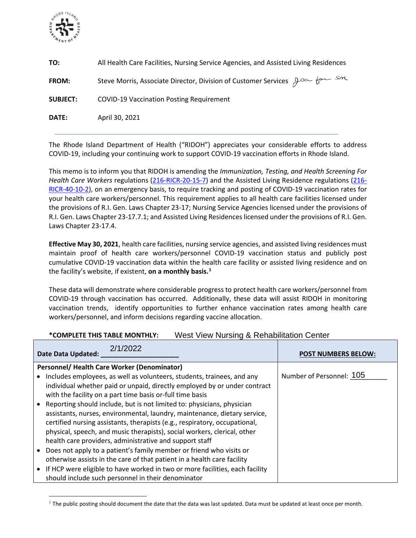

| TO:             | All Health Care Facilities, Nursing Service Agencies, and Assisted Living Residences |
|-----------------|--------------------------------------------------------------------------------------|
| <b>FROM:</b>    | Steve Morris, Associate Director, Division of Customer Services $\beta^{\infty}$     |
| <b>SUBJECT:</b> | <b>COVID-19 Vaccination Posting Requirement</b>                                      |
| <b>DATE:</b>    | April 30, 2021                                                                       |

The Rhode Island Department of Health ("RIDOH") appreciates your considerable efforts to address COVID-19, including your continuing work to support COVID-19 vaccination efforts in Rhode Island.

This memo is to inform you that RIDOH is amending the *Immunization, Testing, and Health Screening For Health Care Workers* regulations [\(216-RICR-20-15-7\)](https://rules.sos.ri.gov/regulations/part/216-20-15-7) and the Assisted Living Residence regulations [\(216-](https://rules.sos.ri.gov/regulations/part/216-40-10-2) [RICR-40-10-2\)](https://rules.sos.ri.gov/regulations/part/216-40-10-2), on an emergency basis, to require tracking and posting of COVID-19 vaccination rates for your health care workers/personnel. This requirement applies to all health care facilities licensed under the provisions of R.I. Gen. Laws Chapter 23-17; Nursing Service Agencies licensed under the provisions of R.I. Gen. Laws Chapter 23-17.7.1; and Assisted Living Residences licensed under the provisions of R.I. Gen. Laws Chapter 23-17.4.

**Effective May 30, 2021**, health care facilities, nursing service agencies, and assisted living residences must maintain proof of health care workers/personnel COVID-19 vaccination status and publicly post cumulative COVID-19 vaccination data within the health care facility or assisted living residence and on the facility's website, if existent, **on a monthly basis. [1](#page-0-0)**

These data will demonstrate where considerable progress to protect health care workers/personnel from COVID-19 through vaccination has occurred. Additionally, these data will assist RIDOH in monitoring vaccination trends, identify opportunities to further enhance vaccination rates among health care workers/personnel, and inform decisions regarding vaccine allocation.

## **\*COMPLETE THIS TABLE MONTHLY:** West View Nursing & Rehabilitation Center

| 2/1/2022<br><b>Date Data Updated:</b>                                                                                                                                                                                                                                                                                                                                    | <b>POST NUMBERS BELOW:</b> |
|--------------------------------------------------------------------------------------------------------------------------------------------------------------------------------------------------------------------------------------------------------------------------------------------------------------------------------------------------------------------------|----------------------------|
| Personnel/ Health Care Worker (Denominator)                                                                                                                                                                                                                                                                                                                              |                            |
| Includes employees, as well as volunteers, students, trainees, and any<br>individual whether paid or unpaid, directly employed by or under contract<br>with the facility on a part time basis or-full time basis                                                                                                                                                         | Number of Personnel: 105   |
| Reporting should include, but is not limited to: physicians, physician<br>assistants, nurses, environmental, laundry, maintenance, dietary service,<br>certified nursing assistants, therapists (e.g., respiratory, occupational,<br>physical, speech, and music therapists), social workers, clerical, other<br>health care providers, administrative and support staff |                            |
| Does not apply to a patient's family member or friend who visits or<br>otherwise assists in the care of that patient in a health care facility<br>If HCP were eligible to have worked in two or more facilities, each facility<br>should include such personnel in their denominator                                                                                     |                            |

<span id="page-0-0"></span> $1$  The public posting should document the date that the data was last updated. Data must be updated at least once per month.